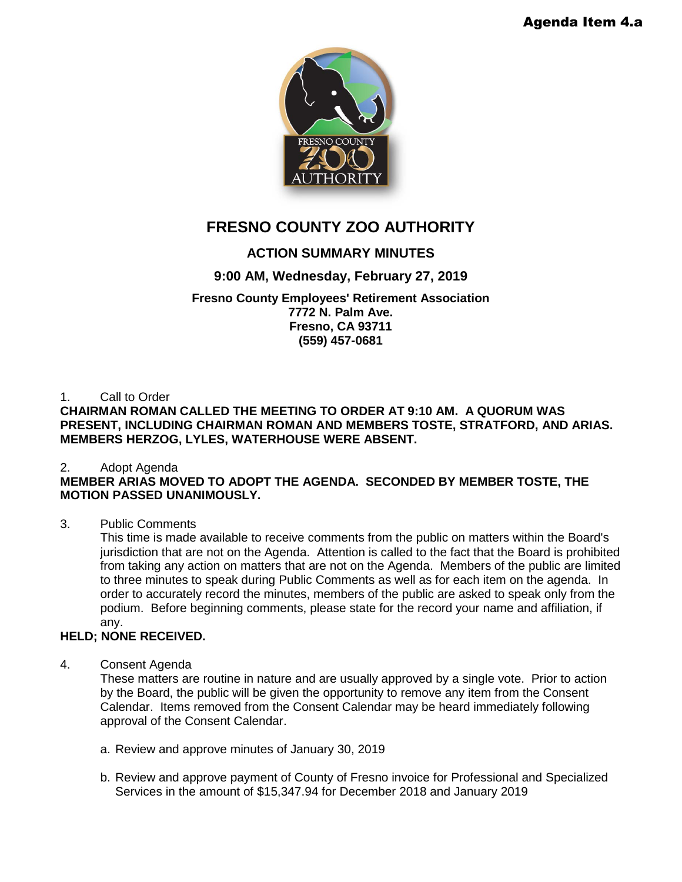

# **FRESNO COUNTY ZOO AUTHORITY**

# **ACTION SUMMARY MINUTES**

# **9:00 AM, Wednesday, February 27, 2019**

### **Fresno County Employees' Retirement Association 7772 N. Palm Ave. Fresno, CA 93711 (559) 457-0681**

1. Call to Order

**CHAIRMAN ROMAN CALLED THE MEETING TO ORDER AT 9:10 AM. A QUORUM WAS PRESENT, INCLUDING CHAIRMAN ROMAN AND MEMBERS TOSTE, STRATFORD, AND ARIAS. MEMBERS HERZOG, LYLES, WATERHOUSE WERE ABSENT.**

# 2. Adopt Agenda

# **MEMBER ARIAS MOVED TO ADOPT THE AGENDA. SECONDED BY MEMBER TOSTE, THE MOTION PASSED UNANIMOUSLY.**

# 3. Public Comments

This time is made available to receive comments from the public on matters within the Board's jurisdiction that are not on the Agenda. Attention is called to the fact that the Board is prohibited from taking any action on matters that are not on the Agenda. Members of the public are limited to three minutes to speak during Public Comments as well as for each item on the agenda. In order to accurately record the minutes, members of the public are asked to speak only from the podium. Before beginning comments, please state for the record your name and affiliation, if any.

# **HELD; NONE RECEIVED.**

# 4. Consent Agenda

These matters are routine in nature and are usually approved by a single vote. Prior to action by the Board, the public will be given the opportunity to remove any item from the Consent Calendar. Items removed from the Consent Calendar may be heard immediately following approval of the Consent Calendar.

- a. Review and approve minutes of January 30, 2019
- b. Review and approve payment of County of Fresno invoice for Professional and Specialized Services in the amount of \$15,347.94 for December 2018 and January 2019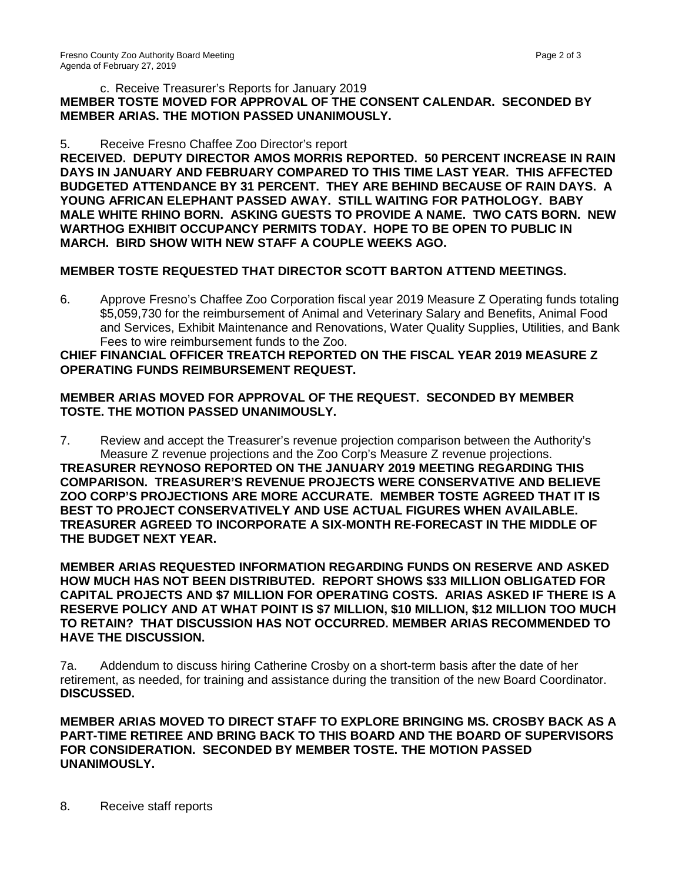#### c. Receive Treasurer's Reports for January 2019 **MEMBER TOSTE MOVED FOR APPROVAL OF THE CONSENT CALENDAR. SECONDED BY MEMBER ARIAS. THE MOTION PASSED UNANIMOUSLY.**

#### 5. Receive Fresno Chaffee Zoo Director's report

**RECEIVED. DEPUTY DIRECTOR AMOS MORRIS REPORTED. 50 PERCENT INCREASE IN RAIN DAYS IN JANUARY AND FEBRUARY COMPARED TO THIS TIME LAST YEAR. THIS AFFECTED BUDGETED ATTENDANCE BY 31 PERCENT. THEY ARE BEHIND BECAUSE OF RAIN DAYS. A YOUNG AFRICAN ELEPHANT PASSED AWAY. STILL WAITING FOR PATHOLOGY. BABY MALE WHITE RHINO BORN. ASKING GUESTS TO PROVIDE A NAME. TWO CATS BORN. NEW WARTHOG EXHIBIT OCCUPANCY PERMITS TODAY. HOPE TO BE OPEN TO PUBLIC IN MARCH. BIRD SHOW WITH NEW STAFF A COUPLE WEEKS AGO.**

#### **MEMBER TOSTE REQUESTED THAT DIRECTOR SCOTT BARTON ATTEND MEETINGS.**

6. Approve Fresno's Chaffee Zoo Corporation fiscal year 2019 Measure Z Operating funds totaling \$5,059,730 for the reimbursement of Animal and Veterinary Salary and Benefits, Animal Food and Services, Exhibit Maintenance and Renovations, Water Quality Supplies, Utilities, and Bank Fees to wire reimbursement funds to the Zoo.

#### **CHIEF FINANCIAL OFFICER TREATCH REPORTED ON THE FISCAL YEAR 2019 MEASURE Z OPERATING FUNDS REIMBURSEMENT REQUEST.**

#### **MEMBER ARIAS MOVED FOR APPROVAL OF THE REQUEST. SECONDED BY MEMBER TOSTE. THE MOTION PASSED UNANIMOUSLY.**

7. Review and accept the Treasurer's revenue projection comparison between the Authority's Measure Z revenue projections and the Zoo Corp's Measure Z revenue projections. **TREASURER REYNOSO REPORTED ON THE JANUARY 2019 MEETING REGARDING THIS COMPARISON. TREASURER'S REVENUE PROJECTS WERE CONSERVATIVE AND BELIEVE ZOO CORP'S PROJECTIONS ARE MORE ACCURATE. MEMBER TOSTE AGREED THAT IT IS BEST TO PROJECT CONSERVATIVELY AND USE ACTUAL FIGURES WHEN AVAILABLE. TREASURER AGREED TO INCORPORATE A SIX-MONTH RE-FORECAST IN THE MIDDLE OF THE BUDGET NEXT YEAR.**

**MEMBER ARIAS REQUESTED INFORMATION REGARDING FUNDS ON RESERVE AND ASKED HOW MUCH HAS NOT BEEN DISTRIBUTED. REPORT SHOWS \$33 MILLION OBLIGATED FOR CAPITAL PROJECTS AND \$7 MILLION FOR OPERATING COSTS. ARIAS ASKED IF THERE IS A RESERVE POLICY AND AT WHAT POINT IS \$7 MILLION, \$10 MILLION, \$12 MILLION TOO MUCH TO RETAIN? THAT DISCUSSION HAS NOT OCCURRED. MEMBER ARIAS RECOMMENDED TO HAVE THE DISCUSSION.** 

7a. Addendum to discuss hiring Catherine Crosby on a short-term basis after the date of her retirement, as needed, for training and assistance during the transition of the new Board Coordinator. **DISCUSSED.** 

**MEMBER ARIAS MOVED TO DIRECT STAFF TO EXPLORE BRINGING MS. CROSBY BACK AS A PART-TIME RETIREE AND BRING BACK TO THIS BOARD AND THE BOARD OF SUPERVISORS FOR CONSIDERATION. SECONDED BY MEMBER TOSTE. THE MOTION PASSED UNANIMOUSLY.**

8. Receive staff reports